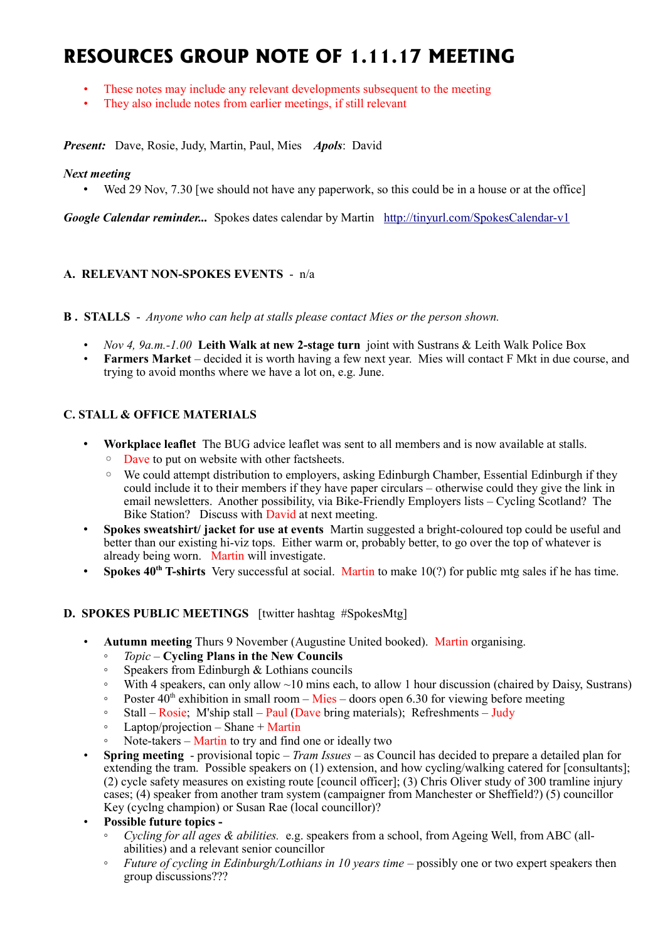# **RESOURCES GROUP NOTE OF 1.11.17 MEETING**

- These notes may include any relevant developments subsequent to the meeting
- They also include notes from earlier meetings, if still relevant

*Present:* Dave, Rosie, Judy, Martin, Paul, Mies *Apols*: David

#### *Next meeting*

• Wed 29 Nov, 7.30 [we should not have any paperwork, so this could be in a house or at the office]

*Google Calendar reminder...* Spokes dates calendar by Martin <http://tinyurl.com/SpokesCalendar-v1>

### **A. RELEVANT NON-SPOKES EVENTS** - n/a

**B . STALLS** - *Anyone who can help at stalls please contact Mies or the person shown.*

- *Nov 4, 9a.m.-1.00* **Leith Walk at new 2-stage turn** joint with Sustrans & Leith Walk Police Box
- **Farmers Market** decided it is worth having a few next year. Mies will contact F Mkt in due course, and trying to avoid months where we have a lot on, e.g. June.

# **C. STALL & OFFICE MATERIALS**

- **Workplace leaflet** The BUG advice leaflet was sent to all members and is now available at stalls.
	- Dave to put on website with other factsheets.
	- We could attempt distribution to employers, asking Edinburgh Chamber, Essential Edinburgh if they could include it to their members if they have paper circulars – otherwise could they give the link in email newsletters. Another possibility, via Bike-Friendly Employers lists – Cycling Scotland? The Bike Station? Discuss with David at next meeting.
- **Spokes sweatshirt/ jacket for use at events** Martin suggested a bright-coloured top could be useful and better than our existing hi-viz tops. Either warm or, probably better, to go over the top of whatever is already being worn. Martin will investigate.
- **Spokes 40th T-shirts** Very successful at social. Martin to make 10(?) for public mtg sales if he has time.

## **D. SPOKES PUBLIC MEETINGS** [twitter hashtag #SpokesMtg]

- **Autumn meeting** Thurs 9 November (Augustine United booked). Martin organising.
	- *Topic* **Cycling Plans in the New Councils**
	- Speakers from Edinburgh & Lothians councils
	- With 4 speakers, can only allow  $\sim$ 10 mins each, to allow 1 hour discussion (chaired by Daisy, Sustrans)
	- $\degree$  Poster 40<sup>th</sup> exhibition in small room Mies doors open 6.30 for viewing before meeting
	- Stall Rosie; M'ship stall Paul (Dave bring materials); Refreshments Judy
	- Laptop/projection Shane + Martin
	- Note-takers Martin to try and find one or ideally two
- **Spring meeting** provisional topic *Tram Issues* as Council has decided to prepare a detailed plan for extending the tram. Possible speakers on (1) extension, and how cycling/walking catered for [consultants]; (2) cycle safety measures on existing route [council officer]; (3) Chris Oliver study of 300 tramline injury cases; (4) speaker from another tram system (campaigner from Manchester or Sheffield?) (5) councillor Key (cyclng champion) or Susan Rae (local councillor)?
- **Possible future topics -**
	- *Cycling for all ages & abilities.* e.g. speakers from a school, from Ageing Well, from ABC (allabilities) and a relevant senior councillor
	- *Future of cycling in Edinburgh/Lothians in 10 years time* possibly one or two expert speakers then group discussions???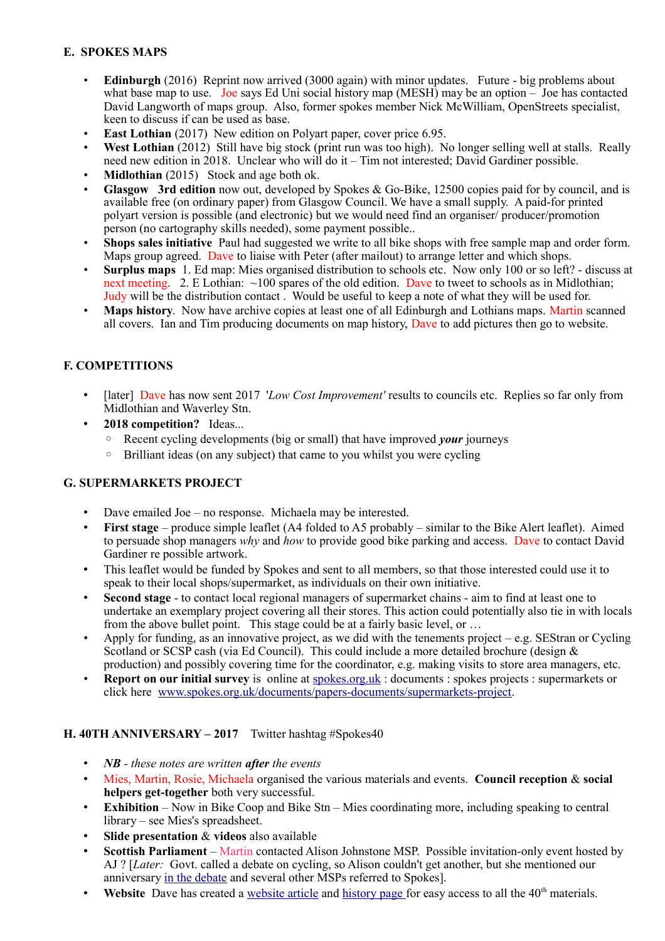# **E. SPOKES MAPS**

- **Edinburgh** (2016) Reprint now arrived (3000 again) with minor updates. Future big problems about what base map to use. Joe says Ed Uni social history map (MESH) may be an option  $\sim$  Joe has contacted David Langworth of maps group. Also, former spokes member Nick McWilliam, OpenStreets specialist, keen to discuss if can be used as base.
- **East Lothian** (2017) New edition on Polyart paper, cover price 6.95.
- **West Lothian** (2012) Still have big stock (print run was too high). No longer selling well at stalls. Really need new edition in 2018. Unclear who will do it – Tim not interested; David Gardiner possible.
- **Midlothian** (2015) Stock and age both ok.
- **Glasgow 3rd edition** now out, developed by Spokes & Go-Bike, 12500 copies paid for by council, and is available free (on ordinary paper) from Glasgow Council. We have a small supply. A paid-for printed polyart version is possible (and electronic) but we would need find an organiser/ producer/promotion person (no cartography skills needed), some payment possible..
- **Shops sales initiative** Paul had suggested we write to all bike shops with free sample map and order form. Maps group agreed. Dave to liaise with Peter (after mailout) to arrange letter and which shops.
- **Surplus maps** 1. Ed map: Mies organised distribution to schools etc. Now only 100 or so left? discuss at next meeting. 2. E Lothian: ~100 spares of the old edition. Dave to tweet to schools as in Midlothian; Judy will be the distribution contact . Would be useful to keep a note of what they will be used for.
- **Maps history**. Now have archive copies at least one of all Edinburgh and Lothians maps. Martin scanned all covers. Ian and Tim producing documents on map history, Dave to add pictures then go to website.

# **F. COMPETITIONS**

- [later] Dave has now sent 2017 '*Low Cost Improvement'* results to councils etc. Replies so far only from Midlothian and Waverley Stn.
- **2018 competition?** Ideas...
	- Recent cycling developments (big or small) that have improved *your* journeys
	- Brilliant ideas (on any subject) that came to you whilst you were cycling

## **G. SUPERMARKETS PROJECT**

- Dave emailed Joe no response. Michaela may be interested.
- **First stage** produce simple leaflet (A4 folded to A5 probably similar to the Bike Alert leaflet). Aimed to persuade shop managers *why* and *how* to provide good bike parking and access. Dave to contact David Gardiner re possible artwork.
- This leaflet would be funded by Spokes and sent to all members, so that those interested could use it to speak to their local shops/supermarket, as individuals on their own initiative.
- **Second stage**  to contact local regional managers of supermarket chains aim to find at least one to undertake an exemplary project covering all their stores. This action could potentially also tie in with locals from the above bullet point. This stage could be at a fairly basic level, or …
- Apply for funding, as an innovative project, as we did with the tenements project  $-e.g. SEStran$  or Cycling Scotland or SCSP cash (via Ed Council). This could include a more detailed brochure (design & production) and possibly covering time for the coordinator, e.g. making visits to store area managers, etc.
- **Report on our initial survey** is online at [spokes.org.uk](http://spokes.org.uk/) : documents : spokes projects : supermarkets or click here [www.spokes.org.uk/documents/papers-documents/supermarkets-project.](http://www.spokes.org.uk/documents/papers-documents/supermarkets-project)

#### **H. 40TH ANNIVERSARY – 2017** Twitter hashtag #Spokes40

- *NB these notes are written after the events*
- Mies, Martin, Rosie, Michaela organised the various materials and events. **Council reception** & **social helpers get-together** both very successful.
- **Exhibition** Now in Bike Coop and Bike Stn Mies coordinating more, including speaking to central library – see Mies's spreadsheet.
- **Slide presentation** & **videos** also available
- **Scottish Parliament**  Martin contacted Alison Johnstone MSP. Possible invitation-only event hosted by AJ ? [*Later:* Govt. called a debate on cycling, so Alison couldn't get another, but she mentioned our anniversary [in the debate](http://www.spokes.org.uk/2017/11/scottish-parliament-debates%EF%9A%B2and%EF%9A%B6%E2%80%8D%E2%99%80%EF%B8%8F/) and several other MSPs referred to Spokes].
- **Website** Dave has created a [website article](http://www.spokes.org.uk/2017/11/spokes-is-40/) and [history page f](http://www.spokes.org.uk/documents/odds-and-ends-may-be-exciting/spokes-history/)or easy access to all the 40<sup>th</sup> materials.